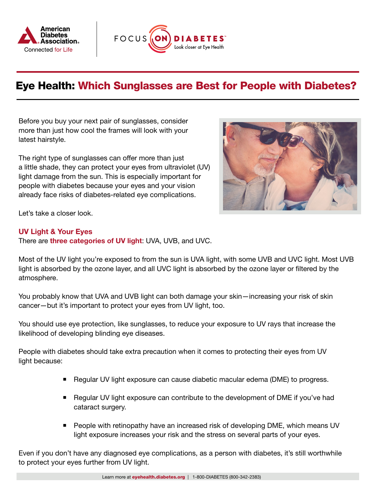



## Eye Health: Which Sunglasses are Best for People with Diabetes?

Before you buy your next pair of sunglasses, consider more than just how cool the frames will look with your latest hairstyle.

The right type of sunglasses can offer more than just a little shade, they can protect your eyes from ultraviolet (UV) light damage from the sun. This is especially important for people with diabetes because your eyes and your vision already face risks of diabetes-related eye complications.



Let's take a closer look.

## UV Light & Your Eyes

There are [three categories of UV light](https://www.cdc.gov/nceh/features/uv-radiation-safety/index.html): UVA, UVB, and UVC.

Most of the UV light you're exposed to from the sun is UVA light, with some UVB and UVC light. Most UVB light is absorbed by the ozone layer, and all UVC light is absorbed by the ozone layer or filtered by the atmosphere.

You probably know that UVA and UVB light can both damage your skin—increasing your risk of skin cancer—but it's important to protect your eyes from UV light, too.

You should use eye protection, like sunglasses, to reduce your exposure to UV rays that increase the likelihood of developing blinding eye diseases.

People with diabetes should take extra precaution when it comes to protecting their eyes from UV light because:

- Regular UV light exposure can cause diabetic macular edema (DME) to progress.
- Regular UV light exposure can contribute to the development of DME if you've had cataract surgery.
- **People with retinopathy have an increased risk of developing DME, which means UV** light exposure increases your risk and the stress on several parts of your eyes.

Even if you don't have any diagnosed eye complications, as a person with diabetes, it's still worthwhile to protect your eyes further from UV light.